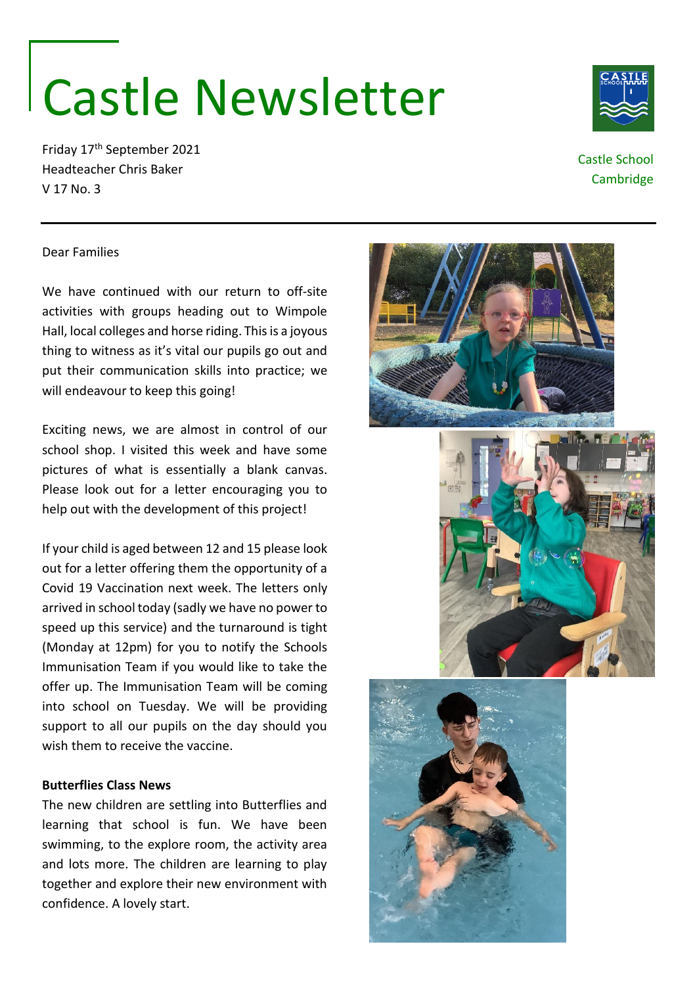# Castle Newsletter

Friday 17th September 2021 Headteacher Chris Baker V 17 No. 3

## Castle School

**Cambridge** 

#### Dear Families

We have continued with our return to off-site activities with groups heading out to Wimpole Hall, local colleges and horse riding. This is a joyous thing to witness as it's vital our pupils go out and put their communication skills into practice; we will endeavour to keep this going!

Exciting news, we are almost in control of our school shop. I visited this week and have some pictures of what is essentially a blank canvas. Please look out for a letter encouraging you to help out with the development of this project!

If your child is aged between 12 and 15 please look out for a letter offering them the opportunity of a Covid 19 Vaccination next week. The letters only arrived in school today (sadly we have no power to speed up this service) and the turnaround is tight (Monday at 12pm) for you to notify the Schools Immunisation Team if you would like to take the offer up. The Immunisation Team will be coming into school on Tuesday. We will be providing support to all our pupils on the day should you wish them to receive the vaccine.

#### **Butterflies Class News**

The new children are settling into Butterflies and learning that school is fun. We have been swimming, to the explore room, the activity area and lots more. The children are learning to play together and explore their new environment with confidence. A lovely start.